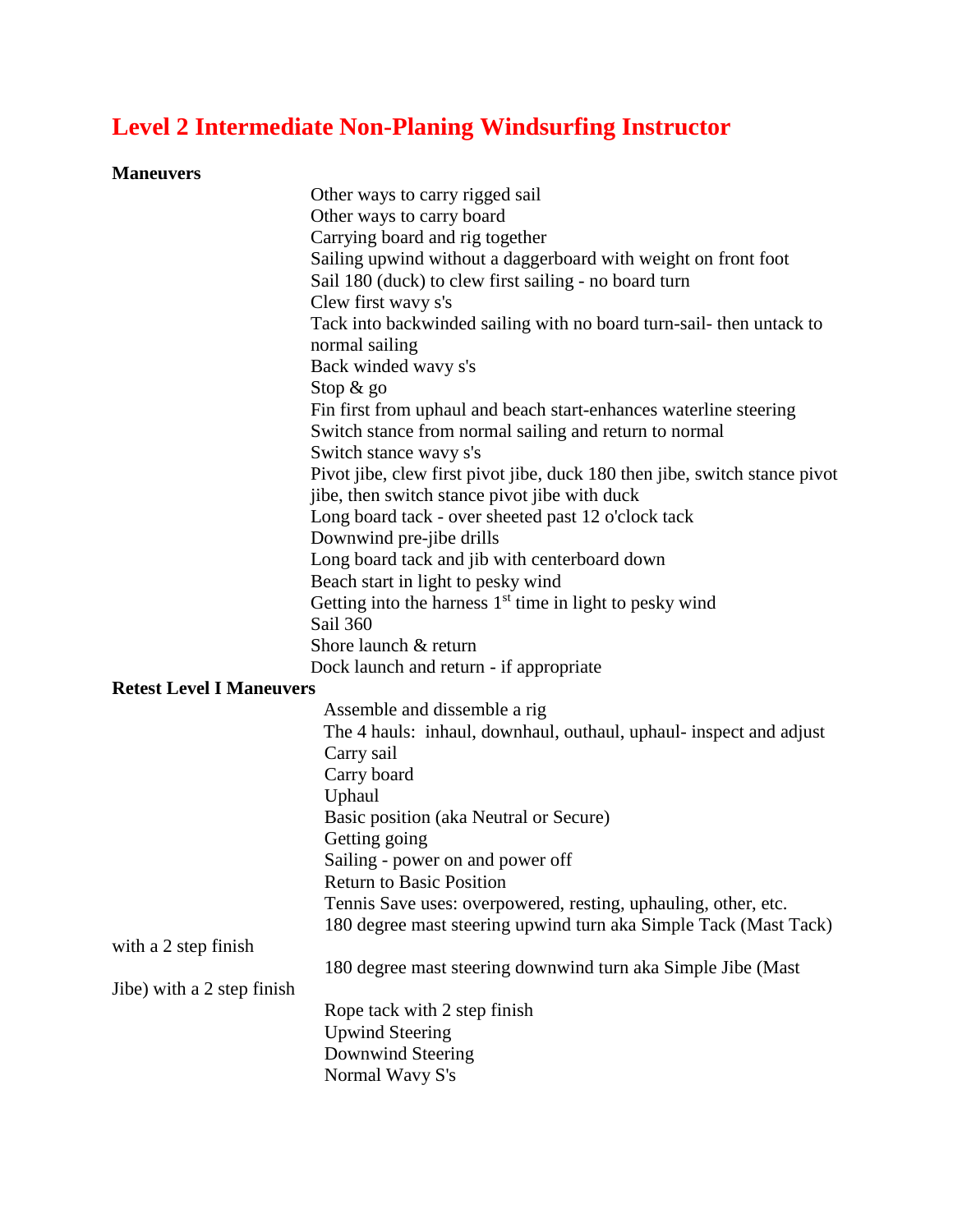## **Level 2 Intermediate Non-Planing Windsurfing Instructor**

## **Maneuvers**

|                                 | Other ways to carry rigged sail                                            |
|---------------------------------|----------------------------------------------------------------------------|
|                                 | Other ways to carry board                                                  |
|                                 | Carrying board and rig together                                            |
|                                 | Sailing upwind without a daggerboard with weight on front foot             |
|                                 | Sail 180 (duck) to clew first sailing - no board turn                      |
|                                 | Clew first wavy s's                                                        |
|                                 | Tack into backwinded sailing with no board turn-sail- then untack to       |
|                                 | normal sailing                                                             |
|                                 | Back winded wavy s's                                                       |
|                                 | Stop $\&$ go                                                               |
|                                 | Fin first from uphaul and beach start-enhances waterline steering          |
|                                 |                                                                            |
|                                 | Switch stance from normal sailing and return to normal                     |
|                                 | Switch stance wavy s's                                                     |
|                                 | Pivot jibe, clew first pivot jibe, duck 180 then jibe, switch stance pivot |
|                                 | jibe, then switch stance pivot jibe with duck                              |
|                                 | Long board tack - over sheeted past 12 o'clock tack                        |
|                                 | Downwind pre-jibe drills                                                   |
|                                 | Long board tack and jib with centerboard down                              |
|                                 | Beach start in light to pesky wind                                         |
|                                 | Getting into the harness 1 <sup>st</sup> time in light to pesky wind       |
|                                 | Sail 360                                                                   |
|                                 | Shore launch & return                                                      |
|                                 | Dock launch and return - if appropriate                                    |
| <b>Retest Level I Maneuvers</b> |                                                                            |
|                                 | Assemble and dissemble a rig                                               |
|                                 | The 4 hauls: inhaul, downhaul, outhaul, uphaul- inspect and adjust         |
|                                 | Carry sail                                                                 |
|                                 | Carry board                                                                |
|                                 | Uphaul                                                                     |
|                                 | Basic position (aka Neutral or Secure)                                     |
|                                 | Getting going                                                              |
|                                 | Sailing - power on and power off                                           |
|                                 | <b>Return to Basic Position</b>                                            |
|                                 | Tennis Save uses: overpowered, resting, uphauling, other, etc.             |
|                                 | 180 degree mast steering upwind turn aka Simple Tack (Mast Tack)           |
| with a 2 step finish            |                                                                            |
|                                 | 180 degree mast steering downwind turn aka Simple Jibe (Mast               |
|                                 |                                                                            |
| Jibe) with a 2 step finish      |                                                                            |
|                                 | Rope tack with 2 step finish                                               |
|                                 | <b>Upwind Steering</b>                                                     |
|                                 | Downwind Steering                                                          |
|                                 | Normal Wavy S's                                                            |